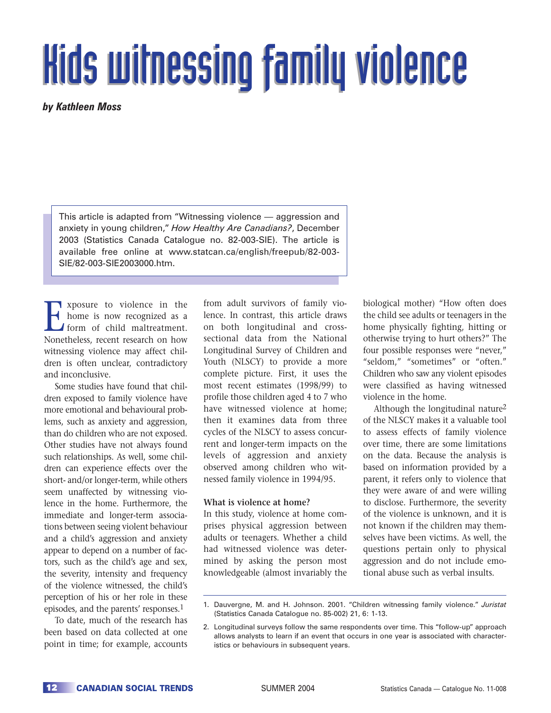# **Kids witnessing family violence**

*by Kathleen Moss*

This article is adapted from "Witnessing violence — aggression and anxiety in young children," *How Healthy Are Canadians?*, December 2003 (Statistics Canada Catalogue no. 82-003-SIE). The article is available free online at www.statcan.ca/english/freepub/82-003- SIE/82-003-SIE2003000.htm.

Exposure to violence in the<br>home is now recognized as a<br>form of child maltreatment.<br>Nonetheless recent research on how home is now recognized as a form of child maltreatment. Nonetheless, recent research on how witnessing violence may affect children is often unclear, contradictory and inconclusive.

Some studies have found that children exposed to family violence have more emotional and behavioural problems, such as anxiety and aggression, than do children who are not exposed. Other studies have not always found such relationships. As well, some children can experience effects over the short- and/or longer-term, while others seem unaffected by witnessing violence in the home. Furthermore, the immediate and longer-term associations between seeing violent behaviour and a child's aggression and anxiety appear to depend on a number of factors, such as the child's age and sex, the severity, intensity and frequency of the violence witnessed, the child's perception of his or her role in these episodes, and the parents' responses.1

To date, much of the research has been based on data collected at one point in time; for example, accounts

from adult survivors of family violence. In contrast, this article draws on both longitudinal and crosssectional data from the National Longitudinal Survey of Children and Youth (NLSCY) to provide a more complete picture. First, it uses the most recent estimates (1998/99) to profile those children aged 4 to 7 who have witnessed violence at home; then it examines data from three cycles of the NLSCY to assess concurrent and longer-term impacts on the levels of aggression and anxiety observed among children who witnessed family violence in 1994/95.

#### **What is violence at home?**

In this study, violence at home comprises physical aggression between adults or teenagers. Whether a child had witnessed violence was determined by asking the person most knowledgeable (almost invariably the

biological mother) "How often does the child see adults or teenagers in the home physically fighting, hitting or otherwise trying to hurt others?" The four possible responses were "never," "seldom," "sometimes" or "often." Children who saw any violent episodes were classified as having witnessed violence in the home.

Although the longitudinal nature<sup>2</sup> of the NLSCY makes it a valuable tool to assess effects of family violence over time, there are some limitations on the data. Because the analysis is based on information provided by a parent, it refers only to violence that they were aware of and were willing to disclose. Furthermore, the severity of the violence is unknown, and it is not known if the children may themselves have been victims. As well, the questions pertain only to physical aggression and do not include emotional abuse such as verbal insults.

<sup>1.</sup> Dauvergne, M. and H. Johnson. 2001. "Children witnessing family violence." *Juristat* (Statistics Canada Catalogue no. 85-002) 21, 6: 1-13.

<sup>2.</sup> Longitudinal surveys follow the same respondents over time. This "follow-up" approach allows analysts to learn if an event that occurs in one year is associated with characteristics or behaviours in subsequent years.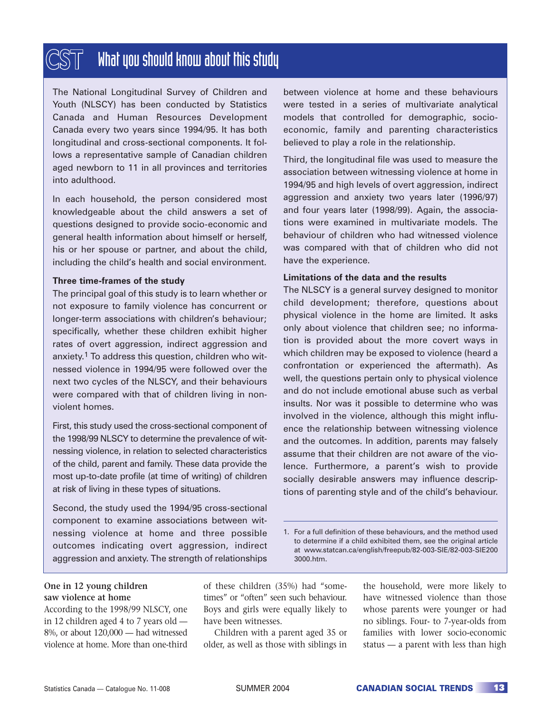## What you should know about this study

The National Longitudinal Survey of Children and Youth (NLSCY) has been conducted by Statistics Canada and Human Resources Development Canada every two years since 1994/95. It has both longitudinal and cross-sectional components. It follows a representative sample of Canadian children aged newborn to 11 in all provinces and territories into adulthood.

In each household, the person considered most knowledgeable about the child answers a set of questions designed to provide socio-economic and general health information about himself or herself, his or her spouse or partner, and about the child, including the child's health and social environment.

#### **Three time-frames of the study**

The principal goal of this study is to learn whether or not exposure to family violence has concurrent or longer-term associations with children's behaviour; specifically, whether these children exhibit higher rates of overt aggression, indirect aggression and anxiety.1 To address this question, children who witnessed violence in 1994/95 were followed over the next two cycles of the NLSCY, and their behaviours were compared with that of children living in nonviolent homes.

First, this study used the cross-sectional component of the 1998/99 NLSCY to determine the prevalence of witnessing violence, in relation to selected characteristics of the child, parent and family. These data provide the most up-to-date profile (at time of writing) of children at risk of living in these types of situations.

Second, the study used the 1994/95 cross-sectional component to examine associations between witnessing violence at home and three possible outcomes indicating overt aggression, indirect aggression and anxiety. The strength of relationships

between violence at home and these behaviours were tested in a series of multivariate analytical models that controlled for demographic, socioeconomic, family and parenting characteristics believed to play a role in the relationship.

Third, the longitudinal file was used to measure the association between witnessing violence at home in 1994/95 and high levels of overt aggression, indirect aggression and anxiety two years later (1996/97) and four years later (1998/99). Again, the associations were examined in multivariate models. The behaviour of children who had witnessed violence was compared with that of children who did not have the experience.

#### **Limitations of the data and the results**

The NLSCY is a general survey designed to monitor child development; therefore, questions about physical violence in the home are limited. It asks only about violence that children see; no information is provided about the more covert ways in which children may be exposed to violence (heard a confrontation or experienced the aftermath). As well, the questions pertain only to physical violence and do not include emotional abuse such as verbal insults. Nor was it possible to determine who was involved in the violence, although this might influence the relationship between witnessing violence and the outcomes. In addition, parents may falsely assume that their children are not aware of the violence. Furthermore, a parent's wish to provide socially desirable answers may influence descriptions of parenting style and of the child's behaviour.

1. For a full definition of these behaviours, and the method used to determine if a child exhibited them, see the original article at www.statcan.ca/english/freepub/82-003-SIE/82-003-SIE200 3000.htm.

#### **One in 12 young children saw violence at home**

According to the 1998/99 NLSCY, one in 12 children aged 4 to 7 years old — 8%, or about 120,000 — had witnessed violence at home. More than one-third of these children (35%) had "sometimes" or "often" seen such behaviour. Boys and girls were equally likely to have been witnesses.

Children with a parent aged 35 or older, as well as those with siblings in the household, were more likely to have witnessed violence than those whose parents were younger or had no siblings. Four- to 7-year-olds from families with lower socio-economic status — a parent with less than high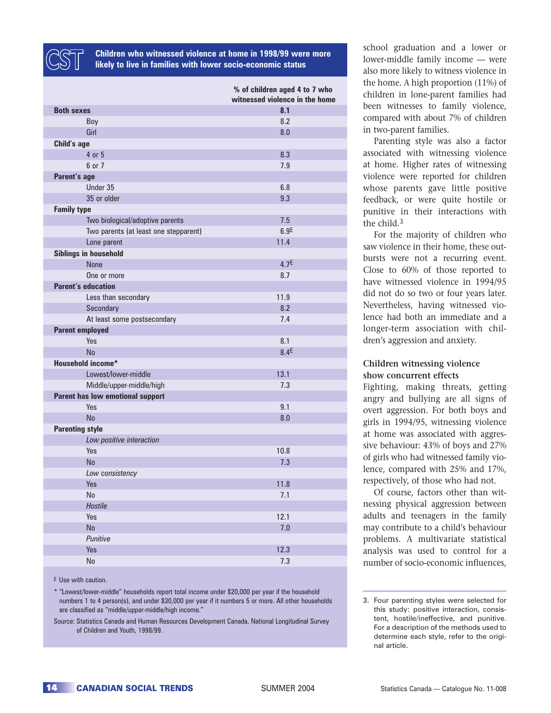

**Children who witnessed violence at home in 1998/99 were more likely to live in families with lower socio-economic status**

|                                       | % of children aged 4 to 7 who<br>witnessed violence in the home |
|---------------------------------------|-----------------------------------------------------------------|
| <b>Both sexes</b>                     | 8.1                                                             |
| Boy                                   | 8.2                                                             |
| Girl                                  | 8.0                                                             |
| Child's age                           |                                                                 |
| 4 or 5                                | 8.3                                                             |
| 6 or 7                                | 7.9                                                             |
| Parent's age                          |                                                                 |
| Under 35                              | 6.8                                                             |
| 35 or older                           | 9.3                                                             |
| <b>Family type</b>                    |                                                                 |
| Two biological/adoptive parents       | 7.5                                                             |
| Two parents (at least one stepparent) | 6.9 <sup>E</sup>                                                |
| Lone parent                           | 11.4                                                            |
| Siblings in household                 |                                                                 |
| <b>None</b>                           | 4.7 <sup>E</sup>                                                |
| One or more                           | 8.7                                                             |
| <b>Parent's education</b>             |                                                                 |
| Less than secondary                   | 11.9                                                            |
| Secondary                             | 8.2                                                             |
| At least some postsecondary           | 7.4                                                             |
| <b>Parent employed</b>                |                                                                 |
| Yes                                   | 8.1                                                             |
| <b>No</b>                             | 8.4 <sup>E</sup>                                                |
| <b>Household income*</b>              |                                                                 |
| Lowest/lower-middle                   | 13.1                                                            |
| Middle/upper-middle/high              | 7.3                                                             |
| Parent has low emotional support      |                                                                 |
| Yes                                   | 9.1                                                             |
| <b>No</b>                             | 8.0                                                             |
| <b>Parenting style</b>                |                                                                 |
| Low positive interaction              |                                                                 |
| Yes                                   | 10.8                                                            |
| <b>No</b>                             | 7.3                                                             |
| Low consistency                       |                                                                 |
| Yes                                   | 11.8                                                            |
| $\operatorname{\mathsf{No}}$          | 7.1                                                             |
| Hostile                               |                                                                 |
| Yes                                   | 12.1                                                            |
| No                                    | 7.0                                                             |
| Punitive                              |                                                                 |
| Yes                                   | 12.3                                                            |
| $\mathsf{No}$                         | 7.3                                                             |

E Use with caution.

\* "Lowest/lower-middle" households report total income under \$20,000 per year if the household numbers 1 to 4 person(s), and under \$30,000 per year if it numbers 5 or more. All other households are classified as "middle/upper-middle/high income."

Source: Statistics Canada and Human Resources Development Canada, National Longitudinal Survey of Children and Youth, 1998/99.

school graduation and a lower or lower-middle family income — were also more likely to witness violence in the home. A high proportion (11%) of children in lone-parent families had been witnesses to family violence, compared with about 7% of children in two-parent families.

Parenting style was also a factor associated with witnessing violence at home. Higher rates of witnessing violence were reported for children whose parents gave little positive feedback, or were quite hostile or punitive in their interactions with the child.<sup>3</sup>

For the majority of children who saw violence in their home, these outbursts were not a recurring event. Close to 60% of those reported to have witnessed violence in 1994/95 did not do so two or four years later. Nevertheless, having witnessed violence had both an immediate and a longer-term association with children's aggression and anxiety.

#### **Children witnessing violence show concurrent effects**

Fighting, making threats, getting angry and bullying are all signs of overt aggression. For both boys and girls in 1994/95, witnessing violence at home was associated with aggressive behaviour: 43% of boys and 27% of girls who had witnessed family violence, compared with 25% and 17%, respectively, of those who had not.

Of course, factors other than witnessing physical aggression between adults and teenagers in the family may contribute to a child's behaviour problems. A multivariate statistical analysis was used to control for a number of socio-economic influences,

<sup>3.</sup> Four parenting styles were selected for this study: positive interaction, consistent, hostile/ineffective, and punitive. For a description of the methods used to determine each style, refer to the original article.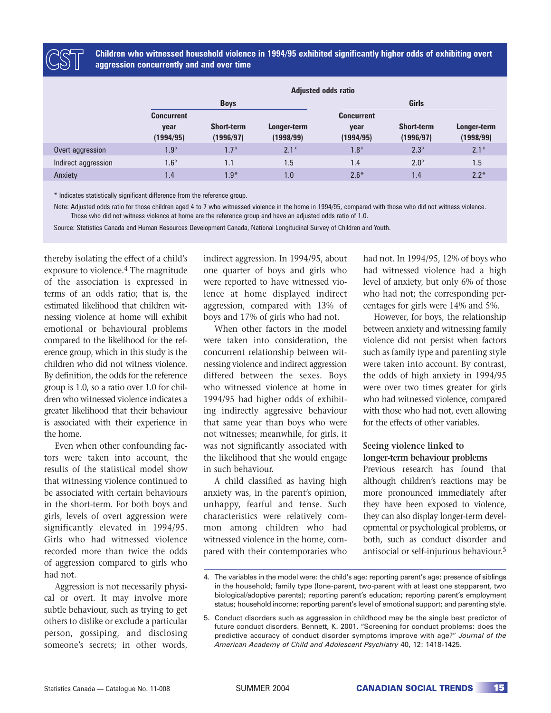

**Children who witnessed household violence in 1994/95 exhibited significantly higher odds of exhibiting overt aggression concurrently and and over time**

|                     | <b>Adjusted odds ratio</b>             |                                |                          |                                        |                                |                          |  |
|---------------------|----------------------------------------|--------------------------------|--------------------------|----------------------------------------|--------------------------------|--------------------------|--|
|                     | <b>Boys</b>                            |                                |                          | Girls                                  |                                |                          |  |
|                     | <b>Concurrent</b><br>year<br>(1994/95) | <b>Short-term</b><br>(1996/97) | Longer-term<br>(1998/99) | <b>Concurrent</b><br>year<br>(1994/95) | <b>Short-term</b><br>(1996/97) | Longer-term<br>(1998/99) |  |
| Overt aggression    | $1.9*$                                 | $1.7*$                         | $2.1*$                   | $1.8*$                                 | $2.3*$                         | $2.1*$                   |  |
| Indirect aggression | $1.6*$                                 | 1.1                            | 1.5                      | 1.4                                    | $2.0*$                         | 1.5                      |  |
| Anxiety             | 1.4                                    | $1.9*$                         | 1.0                      | $2.6*$                                 | 1.4                            | $2.2*$                   |  |

\* Indicates statistically significant difference from the reference group.

Note: Adjusted odds ratio for those children aged 4 to 7 who witnessed violence in the home in 1994/95, compared with those who did not witness violence. Those who did not witness violence at home are the reference group and have an adjusted odds ratio of 1.0.

Source: Statistics Canada and Human Resources Development Canada, National Longitudinal Survey of Children and Youth.

thereby isolating the effect of a child's exposure to violence.<sup>4</sup> The magnitude of the association is expressed in terms of an odds ratio; that is, the estimated likelihood that children witnessing violence at home will exhibit emotional or behavioural problems compared to the likelihood for the reference group, which in this study is the children who did not witness violence. By definition, the odds for the reference group is 1.0, so a ratio over 1.0 for children who witnessed violence indicates a greater likelihood that their behaviour is associated with their experience in the home.

Even when other confounding factors were taken into account, the results of the statistical model show that witnessing violence continued to be associated with certain behaviours in the short-term. For both boys and girls, levels of overt aggression were significantly elevated in 1994/95. Girls who had witnessed violence recorded more than twice the odds of aggression compared to girls who had not.

Aggression is not necessarily physical or overt. It may involve more subtle behaviour, such as trying to get others to dislike or exclude a particular person, gossiping, and disclosing someone's secrets; in other words,

indirect aggression. In 1994/95, about one quarter of boys and girls who were reported to have witnessed violence at home displayed indirect aggression, compared with 13% of boys and 17% of girls who had not.

When other factors in the model were taken into consideration, the concurrent relationship between witnessing violence and indirect aggression differed between the sexes. Boys who witnessed violence at home in 1994/95 had higher odds of exhibiting indirectly aggressive behaviour that same year than boys who were not witnesses; meanwhile, for girls, it was not significantly associated with the likelihood that she would engage in such behaviour.

A child classified as having high anxiety was, in the parent's opinion, unhappy, fearful and tense. Such characteristics were relatively common among children who had witnessed violence in the home, compared with their contemporaries who

had not. In 1994/95, 12% of boys who had witnessed violence had a high level of anxiety, but only 6% of those who had not; the corresponding percentages for girls were 14% and 5%.

However, for boys, the relationship between anxiety and witnessing family violence did not persist when factors such as family type and parenting style were taken into account. By contrast, the odds of high anxiety in 1994/95 were over two times greater for girls who had witnessed violence, compared with those who had not, even allowing for the effects of other variables.

#### **Seeing violence linked to longer-term behaviour problems**

Previous research has found that although children's reactions may be more pronounced immediately after they have been exposed to violence, they can also display longer-term developmental or psychological problems, or both, such as conduct disorder and antisocial or self-injurious behaviour.<sup>5</sup>

<sup>4.</sup> The variables in the model were: the child's age; reporting parent's age; presence of siblings in the household; family type (lone-parent, two-parent with at least one stepparent, two biological/adoptive parents); reporting parent's education; reporting parent's employment status; household income; reporting parent's level of emotional support; and parenting style.

<sup>5.</sup> Conduct disorders such as aggression in childhood may be the single best predictor of future conduct disorders. Bennett, K. 2001. "Screening for conduct problems: does the predictive accuracy of conduct disorder symptoms improve with age?" *Journal of the American Academy of Child and Adolescent Psychiatry* 40, 12: 1418-1425.